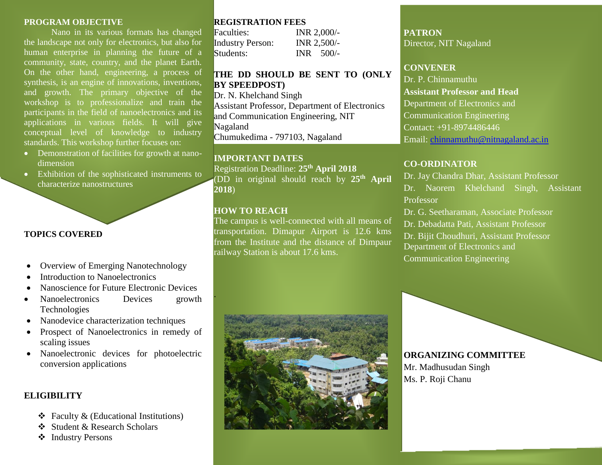#### **PROGRAM OBJECTIVE**

Nano in its various formats has changed the landscape not only for electronics, but also for human enterprise in planning the future of a community, state, country, and the planet Earth. On the other hand, engineering, a process of synthesis, is an engine of innovations, inventions, and growth. The primary objective of the workshop is to professionalize and train the participants in the field of nanoelectronics and its applications in various fields. It will give conceptual level of knowledge to industry standards. This workshop further focuses on:

- Demonstration of facilities for growth at nanodimension
- Exhibition of the sophisticated instruments to characterize nanostructures

# **TOPICS COVERED**

- Overview of Emerging Nanotechnology
- Introduction to Nanoelectronics
- Nanoscience for Future Electronic Devices
- Nanoelectronics Devices growth Technologies
- Nanodevice characterization techniques
- Prospect of Nanoelectronics in remedy of scaling issues
- Nanoelectronic devices for photoelectric conversion applications

## **ELIGIBILITY**

- $\triangleleft$  Faculty & (Educational Institutions)
- Student & Research Scholars
- ❖ Industry Persons

## **REGISTRATION FEES**

| Faculties:              | INR 2,000/- |
|-------------------------|-------------|
| <b>Industry Person:</b> | INR 2,500/- |
| Students:               | $INR$ 500/- |

# **THE DD SHOULD BE SENT TO (ONLY BY SPEEDPOST)**

Dr. N. Khelchand Singh Assistant Professor, Department of Electronics and Communication Engineering, NIT Nagaland Chumukedima - 797103, Nagaland

## **IMPORTANT DATES**

Registration Deadline: **25th April 2018** (DD in original should reach by **25th April 2018**)

## **HOW TO REACH**

.

The campus is well-connected with all means of transportation. Dimapur Airport is 12.6 kms from the Institute and the distance of Dimpaur railway Station is about 17.6 kms.



## **CONVENER**

Dr. P. Chinnamuthu **Assistant Professor and Head** Department of Electronics and Communication Engineering Contact: +91-8974486446 Email: [chinnamuthu@nitnagaland.ac.in](mailto:chinnamuthu@nitnagaland.ac.in)

# **CO-ORDINATOR**

Dr. Jay Chandra Dhar, Assistant Professor Dr. Naorem Khelchand Singh, Assistant Professor

Dr. G. Seetharaman, Associate Professor Dr. Debadatta Pati, Assistant Professor Dr. Bijit Choudhuri, Assistant Professor Department of Electronics and Communication Engineering



# **ORGANIZING COMMITTEE**

Mr. Madhusudan Singh Ms. P. Roji Chanu